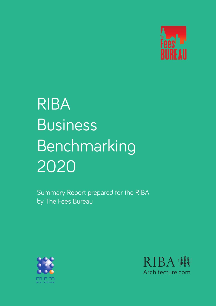

# RIBA Business Benchmarking 2020

Summary Report prepared for the RIBA by The Fees Bureau



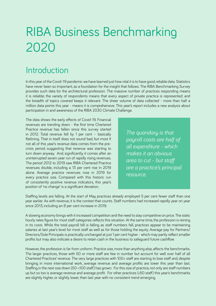## RIBA Business Benchmarking 2020

## Introduction

In this year of the Covid-19 pandemic we have learned just how vital it is to have good, reliable data. Statistics have never been so important, as a foundation for the insight that follows. The RIBA Benchmarking Survey provides such data for the architectural profession. The massive number of practices responding means it is reliable; the variety of respondents means that every aspect of private practice is represented; and the breadth of topics covered keeps it relevant. The sheer volume of data collected - more than half a million data points this year - means it is comprehensive. This year's report includes a new analysis about participation in and awareness of the RIBA 2030 Climate Challenge.

The data shows the early effects of Covid-19. Financial revenues are trending down - the first time Chartered Practice revenue has fallen since this survey started in 2012. Total revenue fell by 1 per cent – basically flatlining. That in itself does not sound bad, but most if not all of this year's revenue data comes from the precrisis period, suggesting that revenue was starting to turn down anyway. And, significantly, it comes after an uninterrupted seven-year run of rapidly rising revenues. The period 2012 to 2019 saw RIBA Chartered Practice revenues double, including a 13 per cent rise in 2019 alone. Average practice revenues rose in 2019 for every practice size. Compared with this historic run of consistently positive revenue indicators, this year's position of 'no change' is a significant deviation.

*The quandary is that payroll costs are half of all expenditure - which makes it an obvious area to cut - but staff are a practice's principal resource.*

Staffing levels are falling. At the start of May, practices already employed 5 per cent fewer staff than one year earlier. As with revenue, it is the context that counts. Staff numbers had increased rapidly year on year since 2013, including an 8 per cent increase in 2019.

A slowing economy brings with it increased competition and the need to stay competitive on price. The static hourly rates figure for most staff categories reflects this situation. At the same time, the profession is reining in its costs. While the total payroll bill is falling as staff numbers fall, practices appear to be maintaining salaries at last year's level for most staff as well as for those holding the equity. Average pay for Partners/ Directors/Sole Principals is practically unchanged at just 1 per cent higher - which may partly reflect smaller profits but may also indicate a desire to retain cash in the business to safeguard future cashflow.

However, the profession is far from uniform. Practice size, more than anything else, affects the benchmarks. The larger practices, those with 50 or more staff are few in number but account for well over half of all Chartered Practices' revenue. The very large practices with 100+ staff are starting to lose staff and, despite bringing in more international work, average revenue and average profits are lower this year than last. Staffing in the next size down (50-<100 staff) has grown. For this size of practice, not only are staff numbers up but so too is average revenue and average profit. For other practices (<50 staff) this year's benchmarks are slightly higher, or slightly lower, than last year with no consistent trend emerging.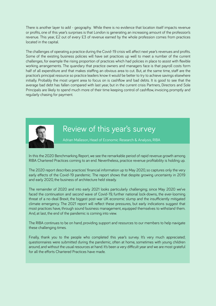There is another layer to add - geography. While there is no evidence that location itself impacts revenue or profits, one of this year's surprises is that London is generating an increasing amount of the profession's revenue. This year, £2 out of every £3 of revenue earned by the whole profession comes from practices located in the capital.

The challenges of operating a practice during the Covid-19 crisis will affect next year's revenues and profits. Some of the existing business policies will have set practices up well to meet a number of the current challenges, for example the rising proportion of practices which had policies in place to assist with flexible working arrangements. The quandary that practice owners and managers face is that payroll costs form half of all expenditure and that makes staffing an obvious area to cut. But, at the same time, staff are the practice's principal resource so practice leaders know it would be better to try to achieve savings elsewhere initially. Probably the most urgent area to focus on is cashflow and bad debts. It is good to see that the average bad debt has fallen compared with last year, but in the current crisis Partners, Directors and Sole Principals are likely to spend much more of their time keeping control of cashflow, invoicing promptly and regularly chasing for payment.



## Review of this year's survey

Adrian Malleson, Head of Economic Research & Analysis, RIBA

In this the 2020 Benchmarking Report, we see the remarkable period of rapid revenue growth among RIBA Chartered Practices coming to an end. Nevertheless, practice revenue profitability is holding up.

The 2020 report describes practices' financial information up to May 2020, so captures only the very early effects of the Covid-19 pandemic. The report shows that despite growing uncertainty in 2019 and early 2020, the business of architecture held steady.

The remainder of 2020 and into early 2021 looks particularly challenging; since May 2020 we've faced the continuation and second wave of Covid-19, further national lock-downs, the ever-looming threat of a no-deal Brexit, the biggest post-war UK economic slump and the insufficiently mitigated climate emergency. The 2021 report will reflect these pressures, but early indications suggest that most practices have, through sound business management, equipped themselves to withstand them. And, at last, the end of the pandemic is coming into view.

The RIBA continues to be on hand, providing [support and resources](https://www.architecture.com/knowledge-and-resources/knowledge-landing-page/coronavirus-covid-19-advice) to our members to help navigate these challenging times.

Finally, thank you to the people who completed this year's survey. It's very much appreciated; questionnaires were submitted during the pandemic, often at home, sometimes with young children around, and without the usual resources at hand. It's been a very difficult year and we are most grateful for all the efforts Chartered Practices have made.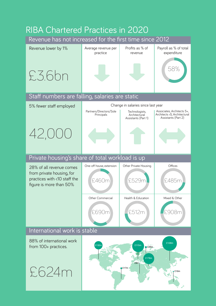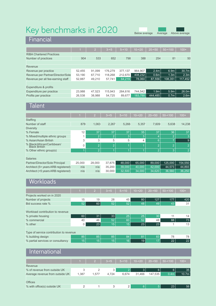## Key benchmarks in 2020

Below average Average Above average

**Financial** 

|                                   |        | $\overline{2}$ | $3 - 5$ | $5 - 10$ | $10 - 520$ | $20 - 50$        | $50 - 100$       | $100+$           |
|-----------------------------------|--------|----------------|---------|----------|------------|------------------|------------------|------------------|
| <b>RIBA Chartered Practices</b>   |        |                |         |          |            |                  |                  |                  |
| Number of practices               | 904    | 533            | 652     | 798      | 388        | 254              | 81               | 50               |
|                                   |        |                |         |          |            |                  |                  |                  |
| Revenue                           |        |                |         |          |            |                  |                  |                  |
| Revenue per practice              | 52,455 | 91.099         | 176.279 | 377.137  | 964.907    | 2.4 <sub>m</sub> | 6.9m             | 30.7m            |
| Revenue per Partner/Director/Sole | 53,190 | 67.710         | 118.268 | 212.670  | 408,232    | 0.6 <sub>m</sub> | 1.3 <sub>m</sub> | 2.3 <sub>m</sub> |
| Revenue per all fee-earning staff | 52,887 | 49.210         | 57,741  | 64,219   | 78.060     | 87,556           | 108.351          | 117,452          |
| Expenditure & profits             |        |                |         |          |            |                  |                  |                  |
| Expenditure per practice          | 23,988 | 47,523         | 115,943 | 264,616  | 744.542    | 1.9 <sub>m</sub> | 5.9 <sub>m</sub> | 26.0m            |
| Profits per practice              | 26,538 | 38,988         | 54,725  | 89,677   | 183.788    | 444,485          | 0.7 <sub>m</sub> | 2.6 <sub>m</sub> |

### Talent

|                                                    |        | $\sqrt{2}$     | $3 - 5$     | $5 - 10$ | $10 - 20$ | $20 - 50$      | $50 - 100$            | $100+$         |
|----------------------------------------------------|--------|----------------|-------------|----------|-----------|----------------|-----------------------|----------------|
| <b>Staffing</b>                                    |        |                |             |          |           |                |                       |                |
| Number of staff                                    | 878    | 1.063          | 2,267       | 5,266    | 5.357     | 7.609          | 5,638                 | 14,238         |
| <b>Diversity</b>                                   |        |                |             |          |           |                |                       |                |
| % Female                                           | 12     | 37             | 37          | 37       | 35        | 37             | 36                    | 37             |
| % Mixed/multiple ethnic groups                     |        | $\overline{2}$ | 2           | 3        | 3         | 4              | $\mathbf{2}^{\prime}$ | 3              |
| % Asian/Asian British                              | 3      | 3              | 5           | 5        | 4         | $6\phantom{1}$ | $\overline{ }$        | l 9'           |
| % Black/African/Caribbean/<br><b>Black British</b> | 0      | $\overline{2}$ | $ 2\rangle$ |          |           | $\overline{2}$ | $\overline{2}$        | $\overline{2}$ |
| % Other ethnic group(s)                            | 1      | $\overline{2}$ |             |          |           | $ 2\rangle$    | 3                     | $\overline{2}$ |
| <b>Salaries</b>                                    |        |                |             |          |           |                |                       |                |
| Partner/Director/Sole Principal                    | 25,000 | 28,000         | 37,875      | 48,000   | 65.000    | 89,000         | 125,000               | 154,550        |
| Architect (5+ years ARB registered)                | n/a    | n/a            | 35,200      | 39,000   | 40.000    | 42,000         | 44.573                | 44,893         |
| Architect (<5 years ARB registered)                | n/a    | n/a            | 30,000      | 32,500   | 34,000    | 34,620         | 36,560                | 36,250         |

### **Workloads**

|                                                       |    | $\overline{2}$ | $3 - 5$ | $5 - 10$ | $10 - 520$ | $20 - 50$ | $50 - 100$ | $100+$ |  |
|-------------------------------------------------------|----|----------------|---------|----------|------------|-----------|------------|--------|--|
| Projects worked on in 2020                            |    |                |         |          |            |           |            |        |  |
| Number of projects                                    | 15 | 19             | 28      | 45       | 80         | 127       | 177        | 420    |  |
| Bid success rate %                                    | 52 | 60             | 52      | 52       | 48         | 49        | 43         | 31     |  |
| Workload contribution to revenue<br>% private housing | 60 | 31             | 33      | 25       | 25         | 30        | 11         | 14     |  |
| % commercial                                          | 40 | 46             | 52      | 60       | 52         | 48        | 88         | 73     |  |
| $%$ other                                             | 0  | 23             | 15      | 15       | 23         | 23        |            | 13     |  |
| Type of service contribution to revenue               |    |                |         |          |            |           |            |        |  |
| % building design                                     | 85 | 85             | 85      | 84       | 81         | 83        | 78         | 78     |  |
| % partial services or consultancy                     | 15 | 15             | 15      | 16       | 19         | 17        | 22         | 22     |  |

#### **International**

|                                 |       | $2 -$ | $3 - 5$ | $5 - 10$ | $10 - 20$ | $20 - 50$     | $50 - 100$       | $100+$ |
|---------------------------------|-------|-------|---------|----------|-----------|---------------|------------------|--------|
| Revenue                         |       |       |         |          |           |               |                  |        |
| % of revenue from outside UK    | 3     |       | 3       |          | Β.        | 6             | <b>6</b>         | 35     |
| Average revenue from outside UK | 1,387 | 1,577 | 4.724   | 6.674    | 31,466    | 147.535       | 0.4 <sub>m</sub> | 10.7m  |
| <b>Offices</b>                  |       |       |         |          |           |               |                  |        |
| % with office(s) outside UK     | 2     |       | 3       | 2        | 6         | <sup>5.</sup> | 23               | 56     |